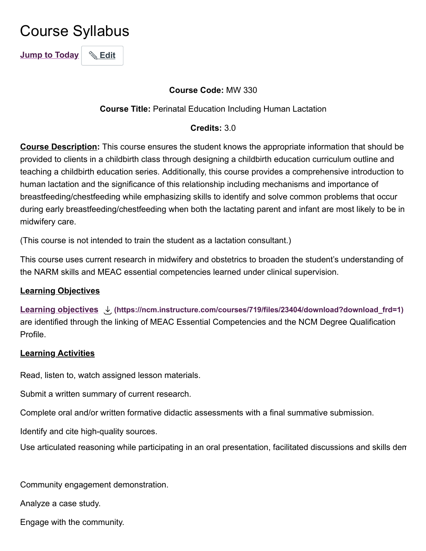# <span id="page-0-0"></span>Course Syllabus

**[Jump to Today](#page-0-0)** & [Edit](#page-0-0)

## **Course Code:** MW 330

#### **Course Title:** Perinatal Education Including Human Lactation

#### **Credits:** 3.0

**Course Description:** This course ensures the student knows the appropriate information that should be provided to clients in a childbirth class through designing a childbirth education curriculum outline and teaching a childbirth education series. Additionally, this course provides a comprehensive introduction to human lactation and the significance of this relationship including mechanisms and importance of breastfeeding/chestfeeding while emphasizing skills to identify and solve common problems that occur during early breastfeeding/chestfeeding when both the lactating parent and infant are most likely to be in midwifery care.

(This course is not intended to train the student as a lactation consultant.)

This course uses current research in midwifery and obstetrics to broaden the student's understanding of the NARM skills and MEAC essential competencies learned under clinical supervision.

## **Learning Objectives**

**[Learning objectives](https://ncm.instructure.com/courses/719/files/23404/download?wrap=1) [\(https://ncm.instructure.com/courses/719/files/23404/download?download\\_frd=1\)](https://ncm.instructure.com/courses/719/files/23404/download?download_frd=1)** are identified through the linking of MEAC Essential Competencies and the NCM Degree Qualification Profile.

#### **Learning Activities**

Read, listen to, watch assigned lesson materials.

Submit a written summary of current research.

Complete oral and/or written formative didactic assessments with a final summative submission.

Identify and cite high-quality sources.

Use articulated reasoning while participating in an oral presentation, facilitated discussions and skills dem

Community engagement demonstration.

Analyze a case study.

Engage with the community.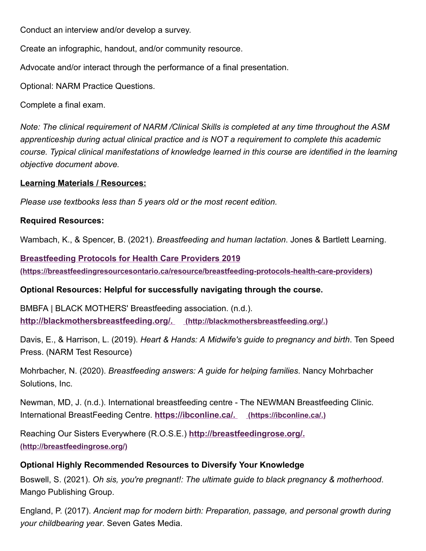Conduct an interview and/or develop a survey.

Create an infographic, handout, and/or community resource.

Advocate and/or interact through the performance of a final presentation.

Optional: NARM Practice Questions.

Complete a final exam.

*Note: The clinical requirement of NARM /Clinical Skills is completed at any time throughout the ASM apprenticeship during actual clinical practice and is NOT a requirement to complete this academic course. Typical clinical manifestations of knowledge learned in this course are identified in the learning objective document above.*

# **Learning Materials / Resources:**

*Please use textbooks less than 5 years old or the most recent edition.*

# **Required Resources:**

Wambach, K., & Spencer, B. (2021). *Breastfeeding and human lactation*. Jones & Bartlett Learning.

**Breastfeeding Protocols for Health Care Providers 2019 [\(https://breastfeedingresourcesontario.ca/resource/breastfeeding-protocols-health-care-providers\)](https://breastfeedingresourcesontario.ca/resource/breastfeeding-protocols-health-care-providers)**

# **Optional Resources: Helpful for successfully navigating through the course.**

BMBFA | BLACK MOTHERS' Breastfeeding association. (n.d.). **[http://blackmothersbreastfeeding.org/.](http://blackmothersbreastfeeding.org/) (http://blackmothersbreastfeeding.org/.)**

Davis, E., & Harrison, L. (2019). *Heart & Hands: A Midwife's guide to pregnancy and birth*. Ten Speed Press. (NARM Test Resource)

Mohrbacher, N. (2020). *Breastfeeding answers: A guide for helping families*. Nancy Mohrbacher Solutions, Inc.

Newman, MD, J. (n.d.). International breastfeeding centre - The NEWMAN Breastfeeding Clinic. International BreastFeeding Centre. **[https://ibconline.ca/.](https://ibconline.ca/) (https://ibconline.ca/.)**

[Reaching Our Sisters Everywhere \(R.O.S.E.\)](http://breastfeedingrose.org/) **http://breastfeedingrose.org/. (http://breastfeedingrose.org/)**

# **Optional Highly Recommended Resources to Diversify Your Knowledge**

Boswell, S. (2021). *Oh sis, you're pregnant!: The ultimate guide to black pregnancy & motherhood*. Mango Publishing Group.

England, P. (2017). *Ancient map for modern birth: Preparation, passage, and personal growth during your childbearing year*. Seven Gates Media.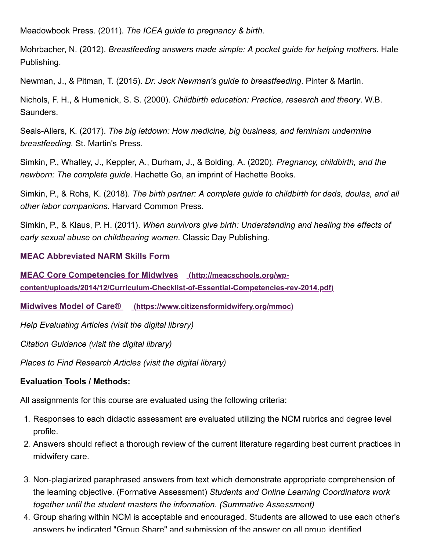Meadowbook Press. (2011). *The ICEA guide to pregnancy & birth*.

Mohrbacher, N. (2012). *Breastfeeding answers made simple: A pocket guide for helping mothers*. Hale Publishing.

Newman, J., & Pitman, T. (2015). *Dr. Jack Newman's guide to breastfeeding*. Pinter & Martin.

Nichols, F. H., & Humenick, S. S. (2000). *Childbirth education: Practice, research and theory*. W.B. Saunders.

Seals-Allers, K. (2017). *The big letdown: How medicine, big business, and feminism undermine breastfeeding*. St. Martin's Press.

Simkin, P., Whalley, J., Keppler, A., Durham, J., & Bolding, A. (2020). *Pregnancy, childbirth, and the newborn: The complete guide*. Hachette Go, an imprint of Hachette Books.

Simkin, P., & Rohs, K. (2018). *The birth partner: A complete guide to childbirth for dads, doulas, and all other labor companions*. Harvard Common Press.

Simkin, P., & Klaus, P. H. (2011). *When survivors give birth: Understanding and healing the effects of early sexual abuse on childbearing women*. Classic Day Publishing.

#### **[MEAC Abbreviated NARM Skills Form](https://ncm.instructure.com/courses/407/pages/narm-clinical-skills-and-meac-abbreviated-skills?module_item_id=64793)**

**MEAC Core Competencies for Midwives (http://meacschools.org/wp[content/uploads/2014/12/Curriculum-Checklist-of-Essential-Competencies-rev-2014.pdf\)](http://meacschools.org/wp-content/uploads/2014/12/Curriculum-Checklist-of-Essential-Competencies-rev-2014.pdf)**

**Midwives Model of Care® [\(https://www.citizensformidwifery.org/mmoc\)](https://www.citizensformidwifery.org/mmoc)**

*Help Evaluating Articles (visit the digital library)*

*Citation Guidance (visit the digital library)*

*Places to Find Research Articles (visit the digital library)*

## **Evaluation Tools / Methods:**

All assignments for this course are evaluated using the following criteria:

- 1. Responses to each didactic assessment are evaluated utilizing the NCM rubrics and degree level profile.
- 2. Answers should reflect a thorough review of the current literature regarding best current practices in midwifery care.
- 3. Non-plagiarized paraphrased answers from text which demonstrate appropriate comprehension of the learning objective. (Formative Assessment) *Students and Online Learning Coordinators work together until the student masters the information. (Summative Assessment)*
- 4. Group sharing within NCM is acceptable and encouraged. Students are allowed to use each other's answers by indicated "Group Share" and submission of the answer on all group identified